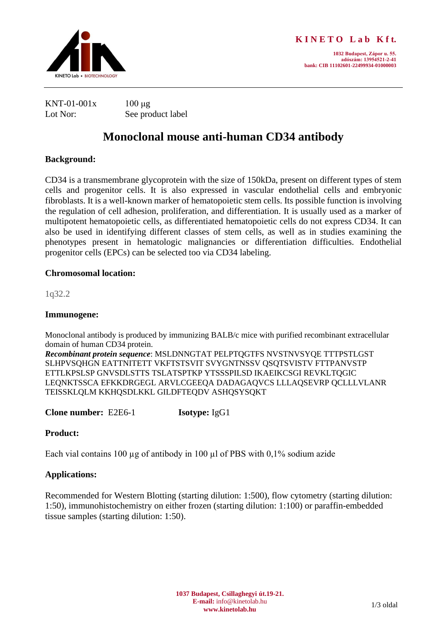

**1032 Budapest, Zápor u. 55. adószám: 13954521-2-41 bank: CIB 11102601-22499934-01000003**

| KNT-01-001x | $100 \mu$ g       |
|-------------|-------------------|
| Lot Nor:    | See product label |

# **Monoclonal mouse anti-human CD34 antibody**

# **Background:**

CD34 is a transmembrane glycoprotein with the size of 150kDa, present on different types of stem cells and progenitor cells. It is also expressed in vascular endothelial cells and embryonic fibroblasts. It is a well-known marker of hematopoietic stem cells. Its possible function is involving the regulation of cell adhesion, proliferation, and differentiation. It is usually used as a marker of multipotent hematopoietic cells, as differentiated hematopoietic cells do not express CD34. It can also be used in identifying different classes of stem cells, as well as in studies examining the phenotypes present in hematologic malignancies or differentiation difficulties. Endothelial progenitor cells (EPCs) can be selected too via CD34 labeling.

## **Chromosomal location:**

1q32.2

## **Immunogene:**

Monoclonal antibody is produced by immunizing BALB/c mice with purified recombinant extracellular domain of human CD34 protein.

*Recombinant protein sequence*: MSLDNNGTAT PELPTQGTFS NVSTNVSYQE TTTPSTLGST SLHPVSQHGN EATTNITETT VKFTSTSVIT SVYGNTNSSV QSQTSVISTV FTTPANVSTP ETTLKPSLSP GNVSDLSTTS TSLATSPTKP YTSSSPILSD IKAEIKCSGI REVKLTQGIC LEQNKTSSCA EFKKDRGEGL ARVLCGEEQA DADAGAQVCS LLLAQSEVRP QCLLLVLANR TEISSKLQLM KKHQSDLKKL GILDFTEQDV ASHQSYSQKT

**Clone number:** E2E6-1 **Isotype:** IgG1

# **Product:**

Each vial contains 100  $\mu$ g of antibody in 100  $\mu$ l of PBS with 0,1% sodium azide

# **Applications:**

Recommended for Western Blotting (starting dilution: 1:500), flow cytometry (starting dilution: 1:50), immunohistochemistry on either frozen (starting dilution: 1:100) or paraffin-embedded tissue samples (starting dilution: 1:50).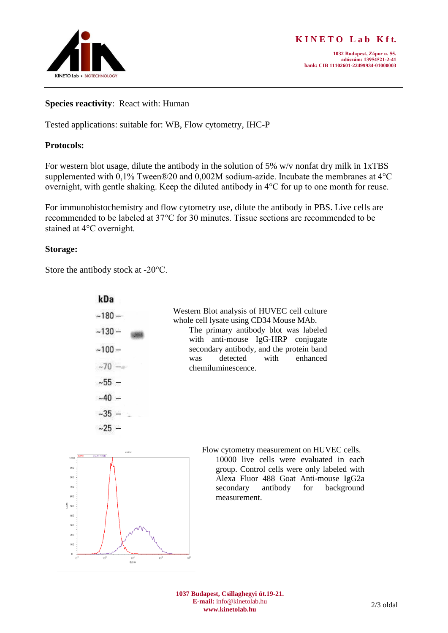

#### **Species reactivity**: React with: Human

Tested applications: suitable for: WB, Flow cytometry, IHC-P

## **Protocols:**

For western blot usage, dilute the antibody in the solution of 5% w/v nonfat dry milk in 1xTBS supplemented with 0,1% Tween®20 and 0,002M sodium-azide. Incubate the membranes at 4°C overnight, with gentle shaking. Keep the diluted antibody in 4°C for up to one month for reuse.

For immunohistochemistry and flow cytometry use, dilute the antibody in PBS. Live cells are recommended to be labeled at 37°C for 30 minutes. Tissue sections are recommended to be stained at 4°C overnight.

## **Storage:**

Store the antibody stock at -20°C.

| kDa      |                                                                                        |
|----------|----------------------------------------------------------------------------------------|
| $-180-$  | Western Blot analysis of HUVEC cell culture<br>whole cell lysate using CD34 Mouse MAb. |
| $-130-$  | The primary antibody blot was labeled<br>with anti-mouse IgG-HRP conjugate             |
| $~100-$  | secondary antibody, and the protein band<br>with enhanced<br>detected<br>was           |
| $~10 -$  | chemiluminescence.                                                                     |
| $~155 -$ |                                                                                        |
| $-40 -$  |                                                                                        |
| $-35 -$  |                                                                                        |
| $-25 -$  |                                                                                        |



Flow cytometry measurement on HUVEC cells. 10000 live cells were evaluated in each group. Control cells were only labeled with Alexa Fluor 488 Goat Anti-mouse IgG2a secondary antibody for background measurement.